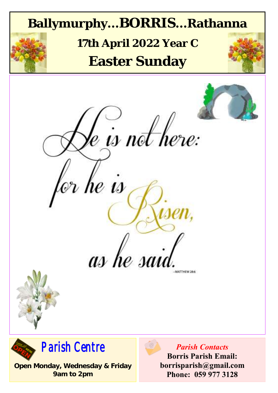

**Open Monday, Wednesday & Friday 9am to 2pm**

**borrisparish@gmail.com Phone: 059 977 3128**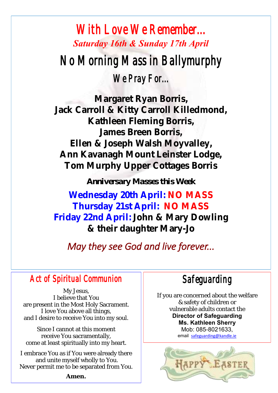## *With Love We Remember... Saturday 16th & Sunday 17th April No Morning Mass in Ballymurphy We Pray For...*

**Margaret Ryan Borris, Jack Carroll & Kitty Carroll Killedmond, Kathleen Fleming Borris, James Breen Borris, Ellen & Joseph Walsh Moyvalley, Ann Kavanagh Mount Leinster Lodge, Tom Murphy Upper Cottages Borris**

*Anniversary Masses this Week*

**Wednesday 20th April: NO MASS Thursday 21st April: NO MASS Friday 22nd April: John & Mary Dowling & their daughter Mary-Jo** 

### *May they see God and live forever...*

#### *Act of Spiritual Communion*

My Jesus, I believe that You are present in the Most Holy Sacrament. I love You above all things, and I desire to receive You into my soul.

Since I cannot at this moment receive You sacramentally, come at least spiritually into my heart.

I embrace You as if You were already there and unite myself wholly to You. Never permit me to be separated from You.

**Amen.**

*Safeguarding* 

If you are concerned about the welfare & safety of children or vulnerable adults contact the **Director of Safeguarding Ms. Kathleen Sherry**  Mob: 085-8021633, email [safeguarding@kandle.ie](mailto:safeguarding@kandle.ie)

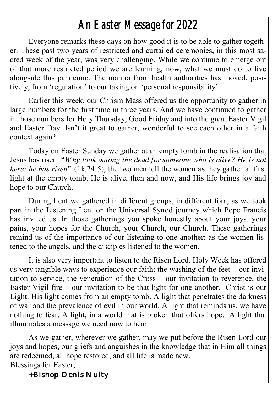## *An Easter Message for 2022*

Everyone remarks these days on how good it is to be able to gather together. These past two years of restricted and curtailed ceremonies, in this most sacred week of the year, was very challenging. While we continue to emerge out of that more restricted period we are learning, now, what we must do to live alongside this pandemic. The mantra from health authorities has moved, positively, from 'regulation' to our taking on 'personal responsibility'.

Earlier this week, our Chrism Mass offered us the opportunity to gather in large numbers for the first time in three years. And we have continued to gather in those numbers for Holy Thursday, Good Friday and into the great Easter Vigil and Easter Day. Isn't it great to gather, wonderful to see each other in a faith context again?

Today on Easter Sunday we gather at an empty tomb in the realisation that Jesus has risen: "*Why look among the dead for someone who is alive? He is not here; he has risen*" (Lk.24:5), the two men tell the women as they gather at first light at the empty tomb. He is alive, then and now, and His life brings joy and hope to our Church.

During Lent we gathered in different groups, in different fora, as we took part in the Listening Lent on the Universal Synod journey which Pope Francis has invited us. In those gatherings you spoke honestly about your joys, your pains, your hopes for the Church, your Church, our Church. These gatherings remind us of the importance of our listening to one another; as the women listened to the angels, and the disciples listened to the women.

It is also very important to listen to the Risen Lord. Holy Week has offered us very tangible ways to experience our faith: the washing of the feet – our invitation to service, the veneration of the Cross – our invitation to reverence, the Easter Vigil fire – our invitation to be that light for one another. Christ is our Light. His light comes from an empty tomb. A light that penetrates the darkness of war and the prevalence of evil in our world. A light that reminds us, we have nothing to fear. A light, in a world that is broken that offers hope. A light that illuminates a message we need now to hear.

As we gather, wherever we gather, may we put before the Risen Lord our joys and hopes, our griefs and anguishes in the knowledge that in Him all things are redeemed, all hope restored, and all life is made new. Blessings for Easter,

 *+Bishop Denis Nulty*